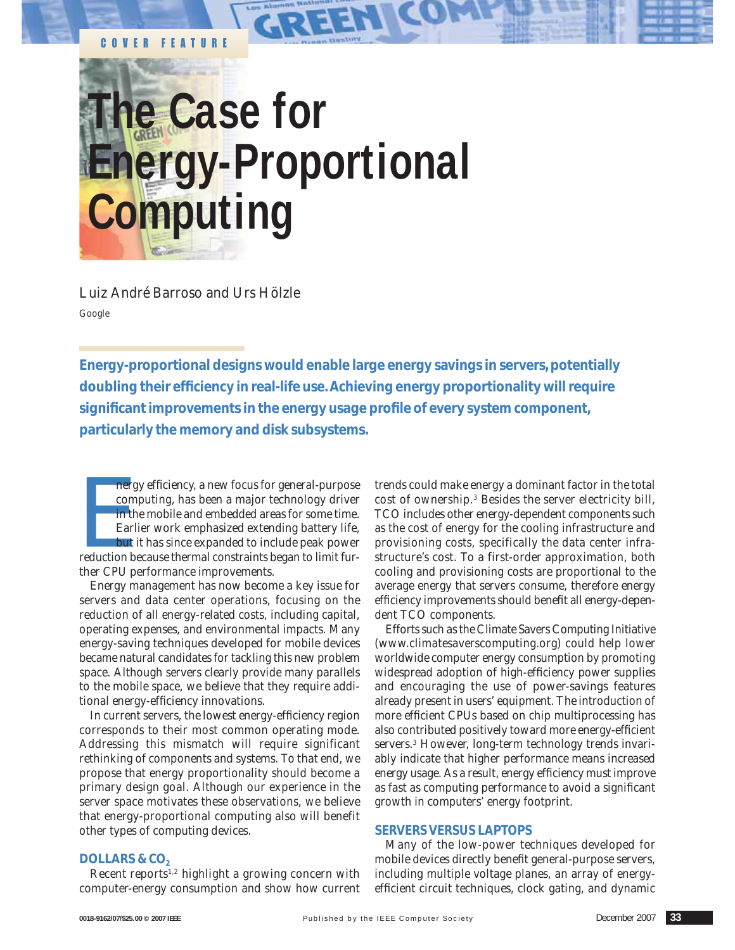# **The Case for Energy-Proportional Computing**

*Luiz André Barroso and Urs Hölzle* Google

COVER FEATURE

**Energy-proportional designs would enable large energy savings in servers, potentially doubling their efficiency in real-life use. Achieving energy proportionality will require significant improvements in the energy usage profile of every system component, particularly the memory and disk subsystems.**

nergy efficiency, a new focus for general-purpose<br>computing, has been a major technology driver<br>in the mobile and embedded areas for some time.<br>Earlier work emphasized extending battery life,<br>but it has since expanded to i nergy efficiency, a new focus for general-purpose computing, has been a major technology driver in the mobile and embedded areas for some time. Earlier work emphasized extending battery life, but it has since expanded to include peak power ther CPU performance improvements.

Energy management has now become a key issue for servers and data center operations, focusing on the reduction of all energy-related costs, including capital, operating expenses, and environmental impacts. Many energy-saving techniques developed for mobile devices became natural candidates for tackling this new problem space. Although servers clearly provide many parallels to the mobile space, we believe that they require additional energy-efficiency innovations.

In current servers, the lowest energy-efficiency region corresponds to their most common operating mode. Addressing this mismatch will require significant rethinking of components and systems. To that end, we propose that energy proportionality should become a primary design goal. Although our experience in the server space motivates these observations, we believe that energy-proportional computing also will benefit other types of computing devices.

# trends could make energy a dominant factor in the total cost of ownership.3 Besides the server electricity bill, TCO includes other energy-dependent components such as the cost of energy for the cooling infrastructure and provisioning costs, specifically the data center infrastructure's cost. To a first-order approximation, both cooling and provisioning costs are proportional to the average energy that servers consume, therefore energy efficiency improvements should benefit all energy-dependent TCO components.

Efforts such as the Climate Savers Computing Initiative (www.climatesaverscomputing.org) could help lower worldwide computer energy consumption by promoting widespread adoption of high-efficiency power supplies and encouraging the use of power-savings features already present in users' equipment. The introduction of more efficient CPUs based on chip multiprocessing has also contributed positively toward more energy-efficient servers.<sup>3</sup> However, long-term technology trends invariably indicate that higher performance means increased energy usage. As a result, energy efficiency must improve as fast as computing performance to avoid a significant growth in computers' energy footprint.

# **SERVERS VERSUS LAPTOPS**

Many of the low-power techniques developed for mobile devices directly benefit general-purpose servers, including multiple voltage planes, an array of energyefficient circuit techniques, clock gating, and dynamic

# **DOLLARS & CO<sub>2</sub>**

Recent reports $1,2$  highlight a growing concern with computer-energy consumption and show how current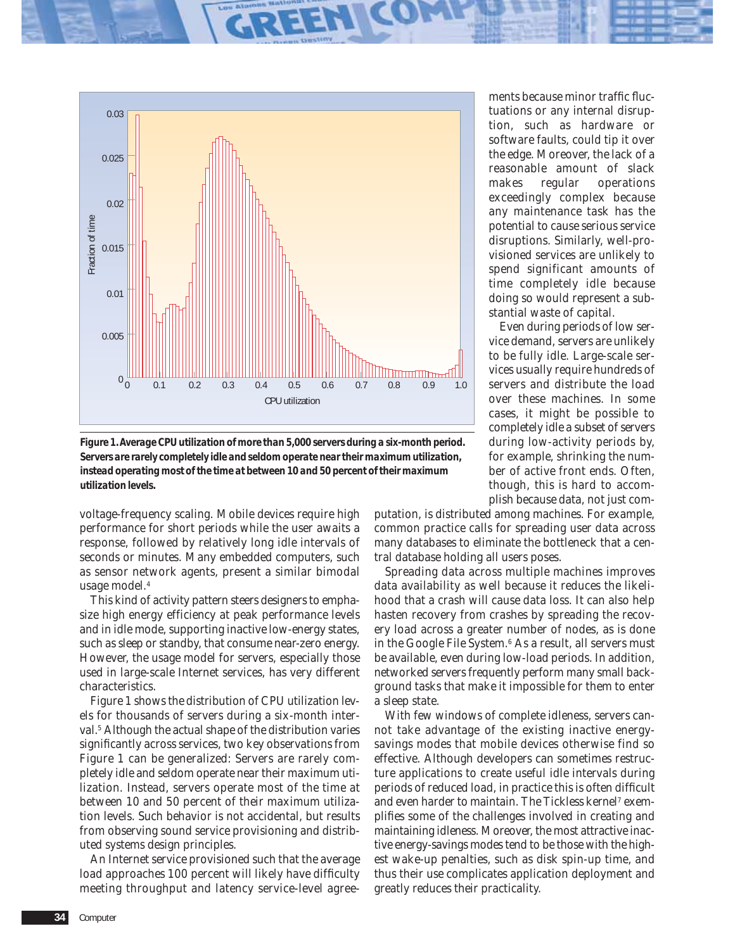

*Figure 1. Average CPU utilization of more than 5,000 servers during a six-month period. Servers are rarely completely idle and seldom operate near their maximum utilization, instead operating most of the time at between 10 and 50 percent of their maximum utilization levels.*

voltage-frequency scaling. Mobile devices require high performance for short periods while the user awaits a response, followed by relatively long idle intervals of seconds or minutes. Many embedded computers, such as sensor network agents, present a similar bimodal usage model.4

This kind of activity pattern steers designers to emphasize high energy efficiency at peak performance levels and in idle mode, supporting inactive low-energy states, such as sleep or standby, that consume near-zero energy. However, the usage model for servers, especially those used in large-scale Internet services, has very different characteristics.

Figure 1 shows the distribution of CPU utilization levels for thousands of servers during a six-month interval.<sup>5</sup> Although the actual shape of the distribution varies significantly across services, two key observations from Figure 1 can be generalized: Servers are rarely completely idle and seldom operate near their maximum utilization. Instead, servers operate most of the time at between 10 and 50 percent of their maximum utilization levels. Such behavior is not accidental, but results from observing sound service provisioning and distributed systems design principles.

An Internet service provisioned such that the average load approaches 100 percent will likely have difficulty meeting throughput and latency service-level agree-

ments because minor traffic fluctuations or any internal disruption, such as hardware or software faults, could tip it over the edge. Moreover, the lack of a reasonable amount of slack makes regular operations exceedingly complex because any maintenance task has the potential to cause serious service disruptions. Similarly, well-provisioned services are unlikely to spend significant amounts of time completely idle because doing so would represent a substantial waste of capital.

Even during periods of low service demand, servers are unlikely to be fully idle. Large-scale services usually require hundreds of servers and distribute the load over these machines. In some cases, it might be possible to completely idle a subset of servers during low-activity periods by, for example, shrinking the number of active front ends. Often, though, this is hard to accomplish because data, not just com-

putation, is distributed among machines. For example, common practice calls for spreading user data across many databases to eliminate the bottleneck that a central database holding all users poses.

Spreading data across multiple machines improves data availability as well because it reduces the likelihood that a crash will cause data loss. It can also help hasten recovery from crashes by spreading the recovery load across a greater number of nodes, as is done in the Google File System.6 As a result, all servers must be available, even during low-load periods. In addition, networked servers frequently perform many small background tasks that make it impossible for them to enter a sleep state.

With few windows of complete idleness, servers cannot take advantage of the existing inactive energysavings modes that mobile devices otherwise find so effective. Although developers can sometimes restructure applications to create useful idle intervals during periods of reduced load, in practice this is often difficult and even harder to maintain. The Tickless kernel<sup>7</sup> exemplifies some of the challenges involved in creating and maintaining idleness. Moreover, the most attractive inactive energy-savings modes tend to be those with the highest wake-up penalties, such as disk spin-up time, and thus their use complicates application deployment and greatly reduces their practicality.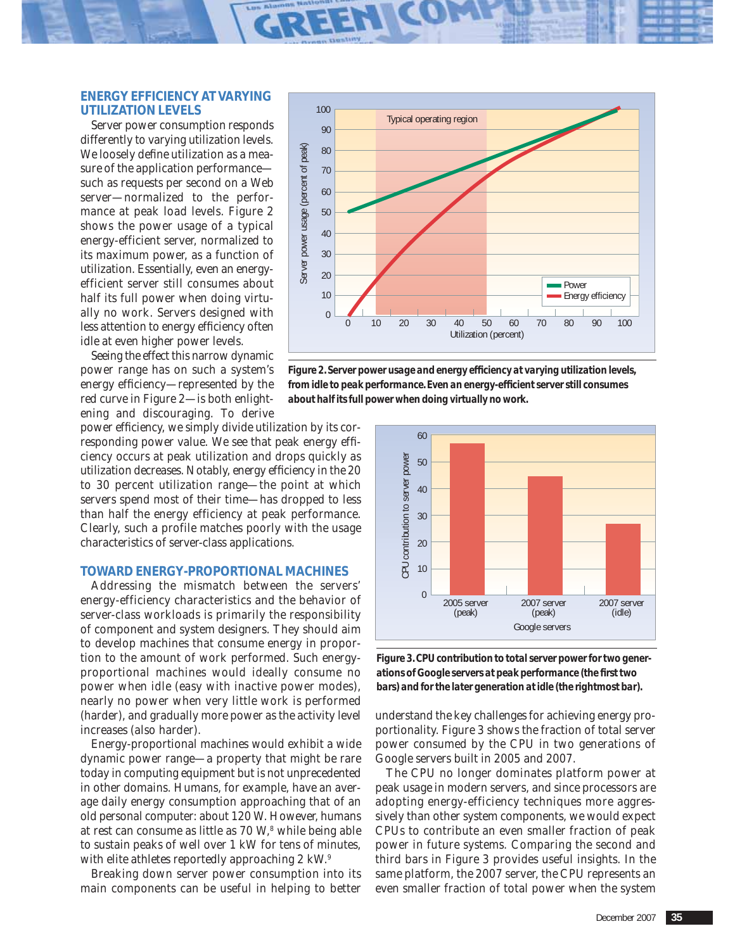# **ENERGY EFFICIENCY AT VARYING UTILIZATION LEVELS**

Server power consumption responds differently to varying utilization levels. We loosely define utilization as a measure of the application performance such as requests per second on a Web server—normalized to the performance at peak load levels. Figure 2 shows the power usage of a typical energy-efficient server, normalized to its maximum power, as a function of utilization. Essentially, even an energyefficient server still consumes about half its full power when doing virtually no work. Servers designed with less attention to energy efficiency often idle at even higher power levels.

Seeing the effect this narrow dynamic power range has on such a system's energy efficiency—represented by the red curve in Figure 2—is both enlightening and discouraging. To derive

power efficiency, we simply divide utilization by its corresponding power value. We see that peak energy efficiency occurs at peak utilization and drops quickly as utilization decreases. Notably, energy efficiency in the 20 to 30 percent utilization range—the point at which servers spend most of their time—has dropped to *less than half* the energy efficiency at peak performance. Clearly, such a profile matches poorly with the usage characteristics of server-class applications.

# **TOWARD ENERGY-PROPORTIONAL MACHINES**

Addressing the mismatch between the servers' energy-efficiency characteristics and the behavior of server-class workloads is primarily the responsibility of component and system designers. They should aim to develop machines that consume energy in proportion to the amount of work performed. Such energyproportional machines would ideally consume no power when idle (easy with inactive power modes), nearly no power when very little work is performed (harder), and gradually more power as the activity level increases (also harder).

Energy-proportional machines would exhibit a wide dynamic power range—a property that might be rare today in computing equipment but is not unprecedented in other domains. Humans, for example, have an average daily energy consumption approaching that of an old personal computer: about 120 W. However, humans at rest can consume as little as 70 W,<sup>8</sup> while being able to sustain peaks of well over 1 kW for tens of minutes, with elite athletes reportedly approaching 2 kW.<sup>9</sup>

Breaking down server power consumption into its main components can be useful in helping to better



*Figure 2. Server power usage and energy efficiency at varying utilization levels, from idle to peak performance. Even an energy-efficient server still consumes about half its full power when doing virtually no work.*



*Figure 3. CPU contribution to total server power for two generations of Google servers at peak performance (the first two bars) and for the later generation at idle (the rightmost bar).*

understand the key challenges for achieving energy proportionality. Figure 3 shows the fraction of total server power consumed by the CPU in two generations of Google servers built in 2005 and 2007.

The CPU no longer dominates platform power at peak usage in modern servers, and since processors are adopting energy-efficiency techniques more aggressively than other system components, we would expect CPUs to contribute an even smaller fraction of peak power in future systems. Comparing the second and third bars in Figure 3 provides useful insights. In the same platform, the 2007 server, the CPU represents an even smaller fraction of total power when the system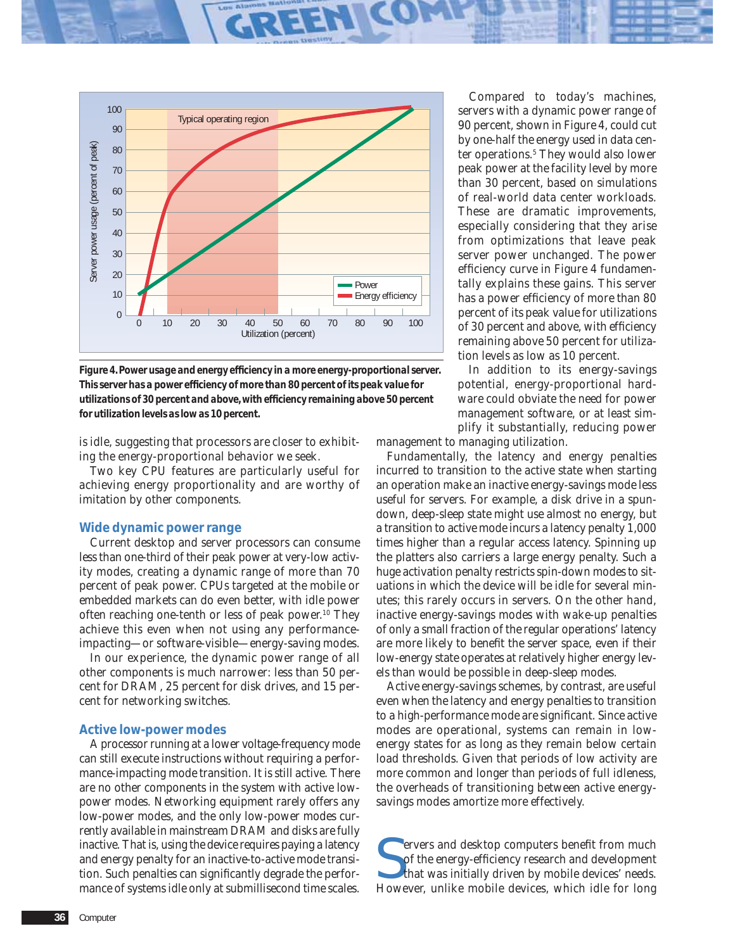

*Figure 4. Power usage and energy efficiency in a more energy-proportional server. This server has a power efficiency of more than 80 percent of its peak value for utilizations of 30 percent and above, with efficiency remaining above 50 percent for utilization levels as low as 10 percent.*

is idle, suggesting that processors are closer to exhibiting the energy-proportional behavior we seek.

Two key CPU features are particularly useful for achieving energy proportionality and are worthy of imitation by other components.

#### **Wide dynamic power range**

Current desktop and server processors can consume less than one-third of their peak power at very-low activity modes, creating a dynamic range of more than 70 percent of peak power. CPUs targeted at the mobile or embedded markets can do even better, with idle power often reaching one-tenth or less of peak power.10 They achieve this even when not using any performanceimpacting—or software-visible—energy-saving modes.

In our experience, the dynamic power range of all other components is much narrower: less than 50 percent for DRAM, 25 percent for disk drives, and 15 percent for networking switches.

#### **Active low-power modes**

A processor running at a lower voltage-frequency mode can still execute instructions without requiring a performance-impacting mode transition. It is still active. There are no other components in the system with active lowpower modes. Networking equipment rarely offers any low-power modes, and the only low-power modes currently available in mainstream DRAM and disks are fully inactive. That is, using the device requires paying a latency and energy penalty for an inactive-to-active mode transition. Such penalties can significantly degrade the performance of systems idle only at submillisecond time scales.

Compared to today's machines, servers with a dynamic power range of 90 percent, shown in Figure 4, could cut by one-half the energy used in data center operations.5 They would also lower peak power at the facility level by more than 30 percent, based on simulations of real-world data center workloads. These are dramatic improvements, especially considering that they arise from optimizations that leave peak server power unchanged. The power efficiency curve in Figure 4 fundamentally explains these gains. This server has a power efficiency of more than 80 percent of its peak value for utilizations of 30 percent and above, with efficiency remaining above 50 percent for utilization levels as low as 10 percent.

In addition to its energy-savings potential, energy-proportional hardware could obviate the need for power management software, or at least simplify it substantially, reducing power

management to managing utilization.

Fundamentally, the latency and energy penalties incurred to transition to the active state when starting an operation make an inactive energy-savings mode less useful for servers. For example, a disk drive in a spundown, deep-sleep state might use almost no energy, but a transition to active mode incurs a latency penalty 1,000 times higher than a regular access latency. Spinning up the platters also carriers a large energy penalty. Such a huge activation penalty restricts spin-down modes to situations in which the device will be idle for several minutes; this rarely occurs in servers. On the other hand, inactive energy-savings modes with wake-up penalties of only a small fraction of the regular operations' latency are more likely to benefit the server space, even if their low-energy state operates at relatively higher energy levels than would be possible in deep-sleep modes.

Active energy-savings schemes, by contrast, are useful even when the latency and energy penalties to transition to a high-performance mode are significant. Since active modes are operational, systems can remain in lowenergy states for as long as they remain below certain load thresholds. Given that periods of low activity are more common and longer than periods of full idleness, the overheads of transitioning between active energysavings modes amortize more effectively.

S ervers and desktop computers benefit from much of the energy-efficiency research and development that was initially driven by mobile devices' needs. However, unlike mobile devices, which idle for long